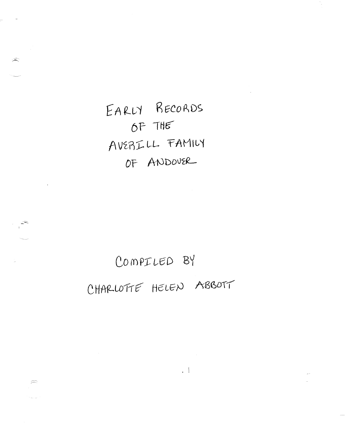EARLY RECORDS OF THE AVERILL FAMILY OF ANDOVER

 $\widehat{\widehat{\phantom{m}}}\hspace{0.2cm}$ 

 $\widehat{\mathscr{L}}$ 

 $\sum_{i=1}^{n}$ 

## COMPILED BY CHARLOTTE HELEN ABBOTT

 $\Box$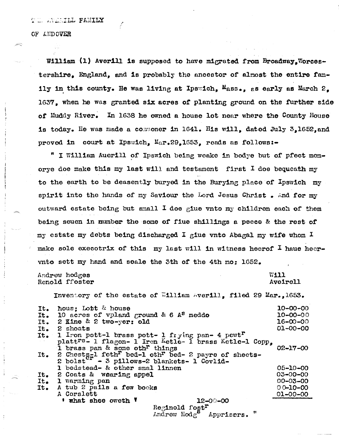## OF ANDOVER

William (1) Averill is supposed to have migrated from Broadway. Worcestershire. England, and is probably the ancestor of almost the entire family in this county. He was living at Ipswich.  $M_{\text{BBS},1}$  as early as March  $2$ . 1637, when he was granted six acres of planting ground on the further side of Muddy River. In 1638 he owned a house lot near where the County House is today. He was made a commoner in 1641. His will, dated July 3.1652.and proved in court at Ipswich, Mar.29.1653. reads as follows:-

" I William Auerill of Ipswich being weake in bodye but of pfect memorye doe make this my last will and testament first I doe bequeath my to the earth to be deasently buryed in the Burying place of Ipswich my spirit into the hands of my Saviour the Lord Jesus Christ. And for my outward estate being but small I doe giue vnto my children each of them being seuen in mumber the some of fiue shillings a peece & the rest of my estate my debts being discharged I giue wnto Abagal my wife whom I make sole execotrix of this my last will in witness heerof  $I$  haue heervnto sett my hand and seale the 3th of the 4th mo: 1652.

Andrew hodges Renold ffoster W111 Aveirell

Inventory of the estate of William Averill, filed 29 Mar., 1653.

| It. | hous: Lobt & house                                                                                                      | $10 - 00 - 00$ |
|-----|-------------------------------------------------------------------------------------------------------------------------|----------------|
| It. | 10 acres of vpland ground & 6 $A^S$ meddo                                                                               | $10 - 00 - 00$ |
| It. | 2 Kine & 2 two-yer: old                                                                                                 | $16 - 00 - 00$ |
| It. | 2 shoats                                                                                                                | $01 - 00 - 00$ |
|     | It. 1 Iron pott-1 brass pott- 1 frying pan- 4 pewt <sup>r</sup>                                                         |                |
|     | platt <sup>rs</sup> - 1 flagon- 1 Iron Ketle- 1 brass Ketle-1 Copp,<br>I brass pan & some oth <sup>r</sup> things       | $02 - 17 - 00$ |
| It. | 2 Chests-1 feth <sup>r</sup> bed-1 oth <sup>r</sup> bed-2 payre of sheets-<br>2 bolst - 3 pillows-2 blankets- 1 Covlid- |                |
|     | 1 bedstead- & other smal linnen                                                                                         | $05 - 10 - 00$ |
| It. | 2 Coats & wearing appel                                                                                                 | $03 - 00 - 00$ |
| It. | 1 warming pan                                                                                                           | $00 - 03 - 00$ |
| It. | A tub 2 pails a few books                                                                                               | $00 - 10 - 00$ |
|     | A Corslett                                                                                                              | $01 - 00 - 00$ |
|     | ' what shee oweth '<br>$12 - 00 - 00$                                                                                   |                |
|     | Reginold fost <sup>r</sup>                                                                                              |                |
|     | Andrew $Hodg^8$ Apprisers. "                                                                                            |                |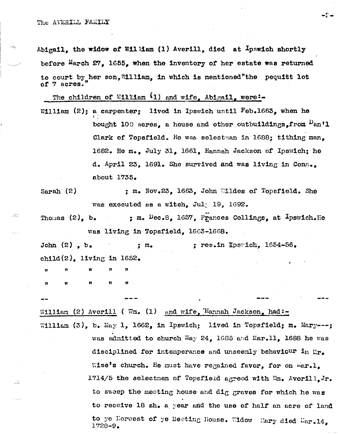Abigail, the widow of William (1) Averill, died at  $I$ pswich shortly before March 27, 1655, when the inventory of her estate was returned to court by her son. William. in which is mentioned"the pequitt lot of 7 acres.

-2.

The children of William  $(1)$  and wife. Abigail. were:-

- William  $(2)$ : a carpenter: lived in Ipswich until  $Feb_*1663$ , when he bought 100 acres, a house and other outbuildings, from  $\nu_{an}$ 'l Clark of Topsfield. He was selectman in 1688; tithing man. 1682. He m., July 31, 1661. Hannah Jackson of Ipswich; he d. April 23, 1691. She survived and was living in Conn.. about 1735.
- ; m. Nov.23, 1663, John Wildes of Topsfield. She Sarah  $(2)$ was executed as a witch, July 19, 1692.
- ; m.  $Dec.8$ , 1657, Frances Collings, at Ipswich. He Thomas  $(2)$ , b. was living in Topsfield. 1663-1668.

John  $(2)$ , b. ; res.in Ipswich,  $1654-56$ .  $: \mathfrak{m}_{\bullet}$ child(2). living in  $1652$ .

William (2) Averill ( Wm. (1) and wife, Hannah Jackson, had:-William (3), b. May 1, 1662, in Ipswich; lived in Topsfield; m. Mary---; was admitted to church May 24, 1685 and Mar.11, 1688 he was disciplined for intemperance and unseemly behaviour in  $\mathbb{L}_{r_{\bullet}}$ Wise's church. He must have regained favor, for on war.l, 1714/5 the selectmen of Topsfield agreed with Wm. Averill, Jr. to sweep the meeting house and  $df$ graves for which he was to receive 18 sh. a year and the use of half an acre of land to ye Horwest of ye Meeting House. Widow Mary died Mar.14, 1728-9.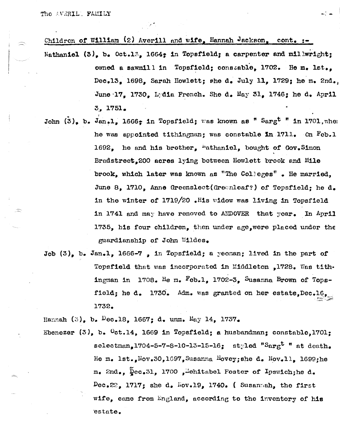## Children of William (2) Averill and wife, Hannah Jackson,  $cont_{\bullet}$ :-

- Nathaniel  $(3)$ , b. Oct.13, 1664; in Topsfield; a carpenter and millwright; owned a sawmill in Topsfield; constable, 1702. He m. lst., Dec.13, 1698, Sarah Howlett; she d. July 11, 1729; he m. 2nd. June 17. 1730. Lain French. She d. May 31. 1746; he d. April 3. 1751.
- John  $(3)$ , b. Jan.1. 1666; in Topsfield; was known as " Sargt " in 1701, when he was appointed tithingnan; was constable in 1711. On Feb.1 1692. he and his brother, "athaniel, bought of Gov. Simon Bradstreet, 200 acres lying between Howlett brook and Mile brook, which later was known as "The Colleges". He married, June 8, 1710, Anne Greenslect (Greenleaf?) of Topsfield; he d. in the winter of 1719/20.His widow was living in Topsfield in 1741 and may have removed to ANDOVER that year. In April 1735. his four children, then under age, were placed under the guardianship of John Wildes.
- Job  $(3)$ , b. Jan.1, 1666-7, in Topsfield; a yeoman; lived in the part of Topsfield that was incorporated in Middleton ,1728. Was tithingman in  $1708$ . He m. Feb.1, 1702-3. Susanna Brown of Topsfield; he d. 1730. Adm. was granted on her estate, Dec. 16, 1732.

Hannah (3), b.  $Dec.18$ , 1667; d. unm. May 14, 1737.

Ebenezer  $(3)$ , b.  $0ct.14$ , 1669 in Topsfield; a husbandman; constable, 1701; selectman.1704-5-7-8-10-13-15-16: styled " $\text{Sarg}^{\text{t}}$ " at death. He m. lst.  $\text{Nov}_2 30, 1697$ , Susanna Hovey; she d. Nov. 11. 1699; he m. 2nd., Dec.31, 1700, Mehitabel Foster of Ipswich; he d.  $Dec.22.$  1717; she d.  $For.19.$  1740. (Susannah, the first wife, came from England, according to the inventory of his estate.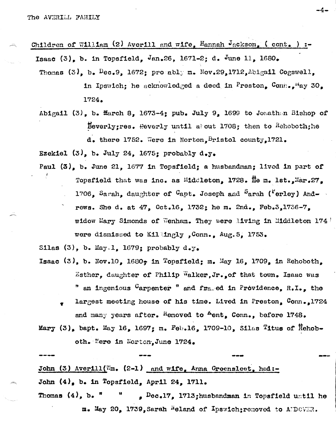Children of William (2) Averill and wife, Hannah Jackson, (cont.) :-Isaac (3), b. in Topsfield, Jan.26, 1671-2; d. June 11, 1680.

- Thomas  $(3)$ , b.  $Dec.9$ , 1672; promably m. Nov.29,1712, Abigail Cogswell, in Ipswich; he acknowledged a deed in Preston,  $Conn_{\bullet}$ <sup>H</sup>ay 30. 1724.
- Abigail (3), b. March 8, 1673-4; pub. July 9, 1699 to Jonathan Bishop of Beverly; res. Reverly until about 1708; then to Hehoboth; he d. there 1752. Were in Norton, Bristol county, 1721.

Ezekiel  $(3)$ , b. July 24, 1675; probably d.y.

Paul  $(3)$ , b. June 21, 1677 in Topsfield; a husbandman; lived in part of Topsfield that was inc. as Middleton, 1728. He m. lst., Mar.27. 1706, Sarah, daughter of Capt. Joseph and Sarah ("erley) Andrews. She d. at  $47$ , Oct.16, 1732; he m. 2nd., Feb.3,1736-7, widow Mary Simonds of Wenham. They were living in Middleton 174 were dismissed to Killingly, Conn., Aug. 5, 1753.

Silas (3), b. May 1. 1679: probably  $d_{\bullet}y_{\bullet}$ 

- Isaac  $(3)$ , b. Nov.10, 1680, in Topsfield; m. May 16, 1709, in Rehoboth, Esther, daughter of Philip Walker, Jr. of that town. Isaac was " an ingenious Carpenter " and framed in Providence, R.I., the
	- largest meeting house of his time. Lived in Preston,  $Conn_{\bullet,1}$ 1724 and many years after. Hemoved to Aent. Conn., before 1748.

Mary  $(3)$ , bapt. May 16, 1697; m. Feb.16, 1709-10, Silas Titus of Rehoboth. Were in Norton, June 1724.

John (3) Averill ( $\mathbb{E}_{m}$ , (2-1) and wife, Anna Greensleet, had:-John  $(4)$ , b. in Topsfield, April 24, 1711. , Dec.17, 1713; husbandman in Topsfield until he Thomas  $(4)$ , b.  $\pi$ m. May 20, 1739, Sarah Meland of Ipswich; removed to ANDOVER.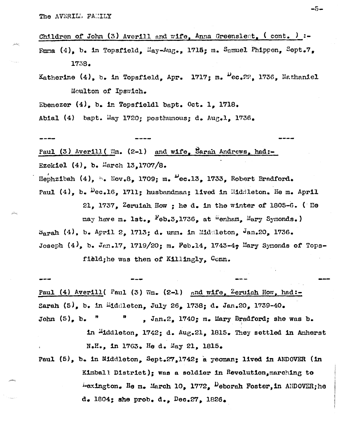Children of John (3) Averill and wife, Anna Greensleet,  $($  cont.  $)$  :-Fuma (4), b. in Topsfield, May-Aug., 1715; m. Samuel Phippen, Sept.7, 1738.

Katherine (4), b. in Topsfield, Apr. 1717; m.  $P_{cc}$ , 22, 1736, Nathaniel Moulton of Ipswich.

Ebenezer  $(4)$ , b. in Topsfieldl bapt. Oct. 1. 1718.

Abial (4) bapt. May 1720; posthumous; d. Aug.1, 1736.

Paul (3) Averill ( Wm. (2-1) and wife, Sarah Andrews, had:-Ezekiel (4), b. March 13,1707/8.

Hephzibah  $(4)$ , b. Nov.8, 1709; m.  $\mu$ ec.13, 1733, Robert Bradford.

Paul  $(4)$ , b.  $Pec_1G$ , 1711; husbandman; lived in Eiddleton. He m. April 21, 1737, Zeruiah How ; he d. in the winter of 1805-6. ( He

may have m. lst.. Feb.3.1736, at Wenham, Mary Symonds.)  $S<sub>arab</sub>$  (4), b. April 2, 1713; d. unm. in Middleton,  $\theta$ an.20, 1736. Joseph  $(4)$ , b. Jan.17, 1719/20; m. Feb.14, 1743-4, Mary Symonds of Tops-

field; he was then of Killingly, Conn.

Paul (4) Averill (Paul (3) Wm.  $(2-1)$  and wife, Zeruiah How, had:-Sarah  $(5)$ , b. in Middleton, July 26, 1738; d. Jan.20, 1739-40. John  $(5)$ , b.  $\mathbf{r}$  $\mathbf{u}$ , Jan.2, 1740; m. Mary Bradford; she was b. in "iddleton,  $1742$ ; d.  $Aug.21$ ,  $1815$ . They settled in Amherst N.H., in 1763. He d. May 21, 1815.

Paul  $(5)$ , b. in Middleton, Sept.27,1742; a yeoman; lived in ANDOVER (in Kimball District); was a soldier in Revolution, marching to  $\mu$ exington. He m. March 10, 1772,  $\nu$ eborah Foster, in ANDOVER; he  $d_{\bullet}$  1804; she prob.  $d_{\bullet}$ , Dec.27, 1826.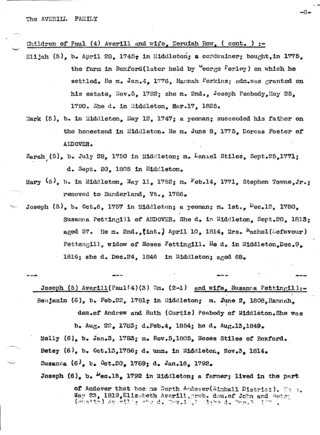## Children of Paul (4) Averill and wife, Zeruiah How, (cont.) :-

Elijah (5), b. April 28, 1745, in Middleton, a cordwalner, bought. in 1775. the farm in Boxford(later held by "eorge Perley) on which he settled. He m. Jan.4. 1776. Hannah Perkins; adm.was granted on his estate. Nov.5. 1782: she m. 2nd., Joseph Peabody. May 25. 1790. She d. in Middleton. Mar.17. 1825.

-6-

- Mark  $(5)$ , b. in Middleton, May 12. 1747; a yeoman; succeeded his father on the homestead in Middleton. He m. June 8, 1775. Dorcas Foster of ANDOVER.
- Sarah (5). b. July 28. 1750 in Middleton: m. Laniel Stiles. Sept.25.1771: d. Sept. 20. 1805 in Middleton.
- Mary  $(5)$ , b. in Middleton, May 11, 1752; m.  $F_{eb.14}$ , 1771, Stephen Towne, Jr.: removed to Sunderland. Vt.. 1786.
- Joseph  $(5)$ , b. 0ct.6. 1757 in Middleton: a yeoman: m. 1st..  $P_{ec.12}$ , 1780. Susama Pettingill of ANDOVER. She d. in Middleton. Sept.20. 1813: aged 57. He m. 2nd. (int.) April 10. 1814. Mrs.  $h_{\text{achel}}(\text{Lefavour})$ Pettengill, widow of Moses Pettingill. He d. in Middleton, Dec. 9. 1816: she d. Dec.24. 1846 in Middleton: aged 68.

Joseph (5) Averill (Paul(4)(3) Wm.  $(2-1)$  and wife. Susanna Pettingill:-Benjamin (6), b. Feb.22, 1781; in Middleton; m. June 2, 1808, Hannah.

dau.of Andrew and Ruth (Curtis) Peabody of Middleton. She was

b. Aug. 22. 1783; d. Feb. 4. 1854; he d. Aug. 13.1849. Molly  $(6)$ , b. Jan.3, 1783; m. Nov.5,1805, Moses Stiles of Boxford. Betsy  $(6)$ , b. Oct.13.1786; d. unm. in Middleton. Nov.3. 1814. Susanna (6), b. Oct.20, 1789; d. Jan.16, 1792.

Joseph (6). b. Wec.15. 1792 in Middleton; a farmer; lived in the part

of Andover that became North Andover(Ximball District). He h.  $\texttt{May 23, 1819, Elliz}_\text{a}$ beth Averill, prob. dau.of John and  $\frac{5}{9}$ ets (sustin) Averilly she d. Nov.18,1982, he d. Nar.5, 1072.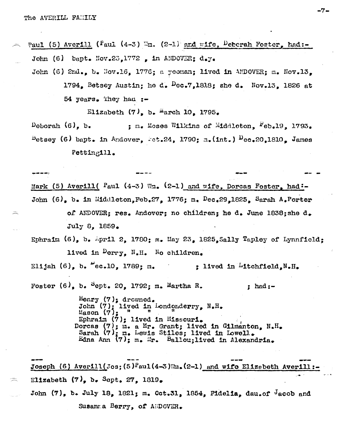Paul (5) Averill ( $P_{\text{aul}}$  (4-3)  $\mathbb{F}_m$ . (2-1) and wife, Deberah Foster, had:-John (6) bapt. Nov.23.1772, in ANDOVER:  $d_{a}y_{a}$ 

John (6)  $2nd_{\bullet}$ , b. Nov.16, 1776; a yeoman; lived in ANDOVER; m. Nov.13. 1794. Betsey Austin; he d.  $P_{00}$ . 1818; she d. Nov. 13, 1826 at 54  $years$ . They had  $:=$ 

Elizabeth  $(7)$ , b. March 10, 1795.

Deborah  $(6)$ , b. ; m. Moses Wilkins of Middleton, Feb.19, 1793.  $P_{\text{etsay}}$  (6) bapt. in Andover, Fet.24, 1790; m. (int.)  $P_{\text{ec.20,1810}}$  James Petting111.

Mark (5) Averill ( $P_{\text{aul}}$  (4-3) Wm. (2-1) and wife, Dorcas Foster, had:-John  $(6)$ , b. in Middleton, Feb. 27, 1776; m. Dec. 29, 1825, Sarah A. Porter of ANDOVER; res. Andover; no children; he d. June 1838; she d. July 8, 1859.

Ephraim (6), b. April 2, 1780;  $n_e$  May 23, 1825, Sally Tapley of Lynnfield; lived in Derry, N.H. No children.

Elijah  $(6)$ , b.  $ec.10$ , 1789; m.  $:$  lived in "itchfield,  $N_{\bullet}H_{\bullet}$ 

Foster  $(6)$ , b.  $\frac{5}{9}$ ept. 20, 1792; m. Martha R. ; had  $:=$ 

> Henry  $(7)$ ; drowned. John  $(7)$ ; lived in Londonderry,  $N_*H_*$ Mason  $(7)$ ; Ephraim  $(7)$ : lived in Missouri. Dorcas (7); m. a Mr. Grant; lived in Gilmanton, N.H. Sarah (7); m. Lewis Stiles; lived in Lowell. Edna Ann  $(7)_3$  m. Er. Ballou; lived in Alexandria.

Joseph (6) Averill(Jos; (5) Paul(4-3) Wm. (2-1) and wife Elizabeth Averill:-Elizabeth  $(7)_*$  b. Sept. 27, 1819. John  $(7)$ , b. July 18, 1821; m. Oct.31, 1854, Fidelia, dau.of dacob and Susanna Berry, of AMDOVER.